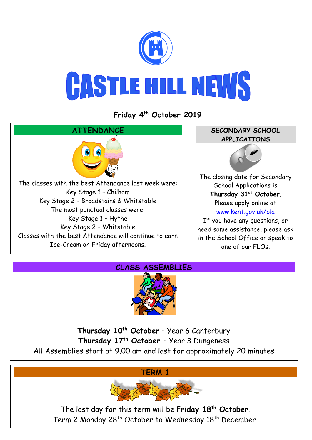

# **CASTLE HILL NEWS**

## **Friday 4 th October 2019**





**Thursday 10th October** – Year 6 Canterbury **Thursday 17th October** – Year 3 Dungeness All Assemblies start at 9.00 am and last for approximately 20 minutes

**TERM 1**



The last day for this term will be **Friday 18th October**. Term 2 Monday 28<sup>th</sup> October to Wednesday 18<sup>th</sup> December.